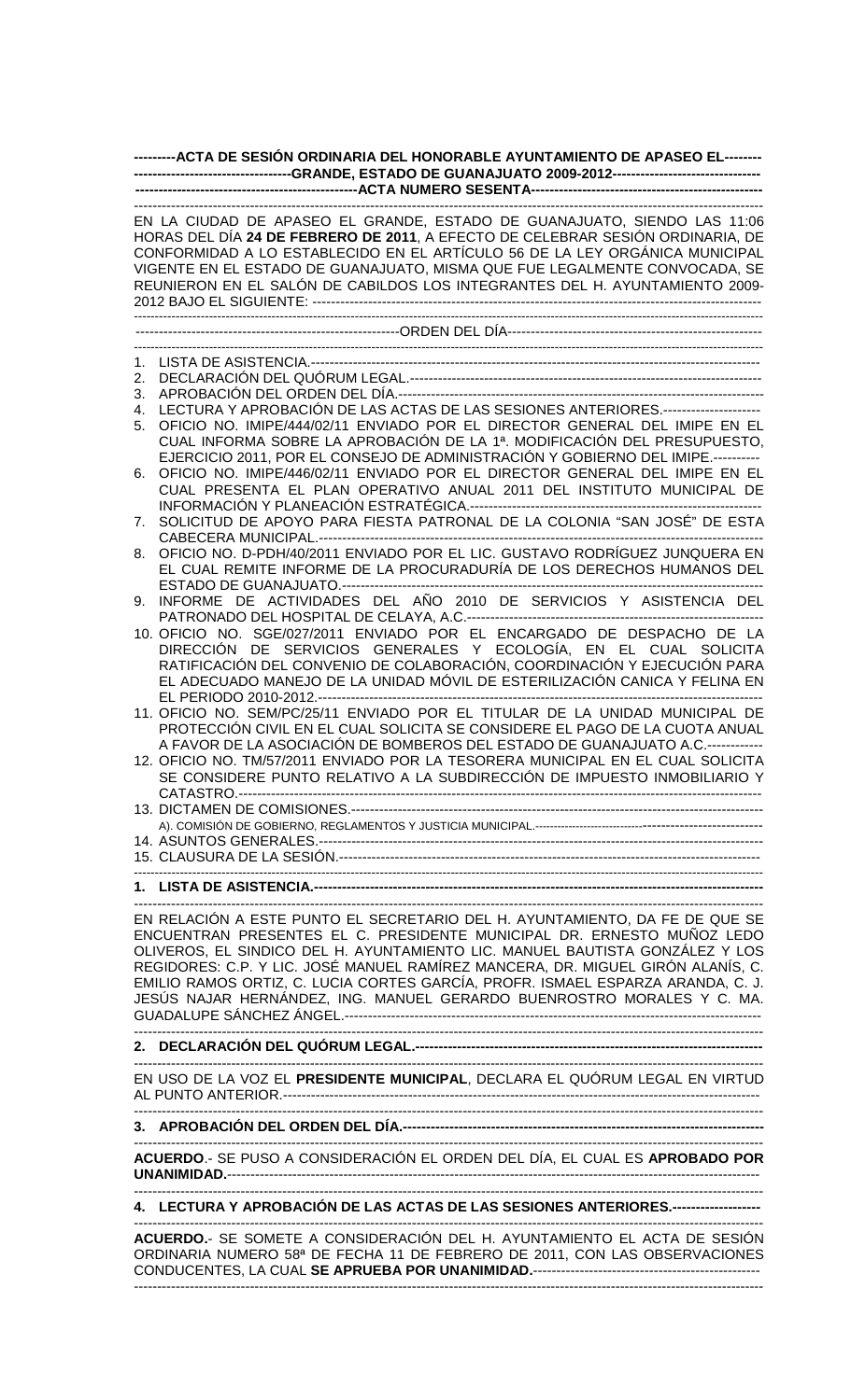## **---------ACTA DE SESIÓN ORDINARIA DEL HONORABLE AYUNTAMIENTO DE APASEO EL-------- ----------------------------------GRANDE, ESTADO DE GUANAJUATO 2009-2012-------------------------------- ------------------------------------------------ACTA NUMERO SESENTA--------------------------------------------------**

|    | EN LA CIUDAD DE APASEO EL GRANDE, ESTADO DE GUANAJUATO, SIENDO LAS 11:06<br>HORAS DEL DÍA 24 DE FEBRERO DE 2011, A EFECTO DE CELEBRAR SESIÓN ORDINARIA, DE<br>CONFORMIDAD A LO ESTABLECIDO EN EL ARTÍCULO 56 DE LA LEY ORGÁNICA MUNICIPAL<br>VIGENTE EN EL ESTADO DE GUANAJUATO, MISMA QUE FUE LEGALMENTE CONVOCADA, SE<br>REUNIERON EN EL SALÓN DE CABILDOS LOS INTEGRANTES DEL H. AYUNTAMIENTO 2009- |
|----|--------------------------------------------------------------------------------------------------------------------------------------------------------------------------------------------------------------------------------------------------------------------------------------------------------------------------------------------------------------------------------------------------------|
|    |                                                                                                                                                                                                                                                                                                                                                                                                        |
|    |                                                                                                                                                                                                                                                                                                                                                                                                        |
| 1. |                                                                                                                                                                                                                                                                                                                                                                                                        |
| 2. |                                                                                                                                                                                                                                                                                                                                                                                                        |
| 3. |                                                                                                                                                                                                                                                                                                                                                                                                        |
| 4. | LECTURA Y APROBACIÓN DE LAS ACTAS DE LAS SESIONES ANTERIORES.--------------------                                                                                                                                                                                                                                                                                                                      |
| 5. | OFICIO NO. IMIPE/444/02/11 ENVIADO POR EL DIRECTOR GENERAL DEL IMIPE EN EL                                                                                                                                                                                                                                                                                                                             |
|    | CUAL INFORMA SOBRE LA APROBACIÓN DE LA 1ª. MODIFICACIÓN DEL PRESUPUESTO,                                                                                                                                                                                                                                                                                                                               |
|    | EJERCICIO 2011, POR EL CONSEJO DE ADMINISTRACIÓN Y GOBIERNO DEL IMIPE.----------<br>OFICIO NO. IMIPE/446/02/11 ENVIADO POR EL DIRECTOR GENERAL DEL IMIPE EN EL                                                                                                                                                                                                                                         |
| 6. | CUAL PRESENTA EL PLAN OPERATIVO ANUAL 2011 DEL INSTITUTO MUNICIPAL DE                                                                                                                                                                                                                                                                                                                                  |
|    |                                                                                                                                                                                                                                                                                                                                                                                                        |
| 7. | SOLICITUD DE APOYO PARA FIESTA PATRONAL DE LA COLONIA "SAN JOSÉ" DE ESTA                                                                                                                                                                                                                                                                                                                               |
|    |                                                                                                                                                                                                                                                                                                                                                                                                        |
|    | 8. OFICIO NO. D-PDH/40/2011 ENVIADO POR EL LIC. GUSTAVO RODRÍGUEZ JUNQUERA EN                                                                                                                                                                                                                                                                                                                          |
|    | EL CUAL REMITE INFORME DE LA PROCURADURÍA DE LOS DERECHOS HUMANOS DEL                                                                                                                                                                                                                                                                                                                                  |
|    | ESTADO DE GUANAJUATO.----------<br>----------------------                                                                                                                                                                                                                                                                                                                                              |
| 9. | INFORME DE ACTIVIDADES DEL AÑO 2010 DE SERVICIOS Y ASISTENCIA DEL                                                                                                                                                                                                                                                                                                                                      |
|    |                                                                                                                                                                                                                                                                                                                                                                                                        |
|    | 10. OFICIO NO. SGE/027/2011 ENVIADO POR EL ENCARGADO DE DESPACHO DE LA                                                                                                                                                                                                                                                                                                                                 |
|    | DIRECCIÓN DE SERVICIOS GENERALES Y ECOLOGÍA, EN EL CUAL SOLICITA<br>RATIFICACIÓN DEL CONVENIO DE COLABORACIÓN, COORDINACIÓN Y EJECUCIÓN PARA                                                                                                                                                                                                                                                           |
|    | EL ADECUADO MANEJO DE LA UNIDAD MÓVIL DE ESTERILIZACIÓN CANICA Y FELINA EN                                                                                                                                                                                                                                                                                                                             |
|    |                                                                                                                                                                                                                                                                                                                                                                                                        |
|    | 11. OFICIO NO. SEM/PC/25/11 ENVIADO POR EL TITULAR DE LA UNIDAD MUNICIPAL DE                                                                                                                                                                                                                                                                                                                           |
|    | PROTECCIÓN CIVIL EN EL CUAL SOLICITA SE CONSIDERE EL PAGO DE LA CUOTA ANUAL                                                                                                                                                                                                                                                                                                                            |
|    | A FAVOR DE LA ASOCIACIÓN DE BOMBEROS DEL ESTADO DE GUANAJUATO A.C.------------                                                                                                                                                                                                                                                                                                                         |
|    | 12. OFICIO NO. TM/57/2011 ENVIADO POR LA TESORERA MUNICIPAL EN EL CUAL SOLICITA                                                                                                                                                                                                                                                                                                                        |
|    | SE CONSIDERE PUNTO RELATIVO A LA SUBDIRECCIÓN DE IMPUESTO INMOBILIARIO Y                                                                                                                                                                                                                                                                                                                               |
|    | CATASTRO.--------------                                                                                                                                                                                                                                                                                                                                                                                |
|    |                                                                                                                                                                                                                                                                                                                                                                                                        |
|    |                                                                                                                                                                                                                                                                                                                                                                                                        |
|    |                                                                                                                                                                                                                                                                                                                                                                                                        |
|    |                                                                                                                                                                                                                                                                                                                                                                                                        |
|    |                                                                                                                                                                                                                                                                                                                                                                                                        |
|    |                                                                                                                                                                                                                                                                                                                                                                                                        |
|    | EN RELACIÓN A ESTE PUNTO EL SECRETARIO DEL H. AYUNTAMIENTO, DA FE DE QUE SE                                                                                                                                                                                                                                                                                                                            |
|    | ENCUENTRAN PRESENTES EL C. PRESIDENTE MUNICIPAL DR. ERNESTO MUÑOZ LEDO<br>OLIVEROS, EL SINDICO DEL H. AYUNTAMIENTO LIC. MANUEL BAUTISTA GONZÁLEZ Y LOS                                                                                                                                                                                                                                                 |
|    | REGIDORES: C.P. Y LIC. JOSÉ MANUEL RAMÍREZ MANCERA, DR. MIGUEL GIRÓN ALANÍS, C.                                                                                                                                                                                                                                                                                                                        |
|    | EMILIO RAMOS ORTIZ, C. LUCIA CORTES GARCÍA, PROFR. ISMAEL ESPARZA ARANDA, C. J.                                                                                                                                                                                                                                                                                                                        |
|    | JESÚS NAJAR HERNÁNDEZ, ING. MANUEL GERARDO BUENROSTRO MORALES Y C. MA.                                                                                                                                                                                                                                                                                                                                 |
|    |                                                                                                                                                                                                                                                                                                                                                                                                        |
|    |                                                                                                                                                                                                                                                                                                                                                                                                        |
|    |                                                                                                                                                                                                                                                                                                                                                                                                        |
|    | EN USO DE LA VOZ EL PRESIDENTE MUNICIPAL, DECLARA EL QUÓRUM LEGAL EN VIRTUD                                                                                                                                                                                                                                                                                                                            |
|    |                                                                                                                                                                                                                                                                                                                                                                                                        |
|    |                                                                                                                                                                                                                                                                                                                                                                                                        |
|    |                                                                                                                                                                                                                                                                                                                                                                                                        |
|    | ACUERDO.- SE PUSO A CONSIDERACIÓN EL ORDEN DEL DÍA, EL CUAL ES APROBADO POR                                                                                                                                                                                                                                                                                                                            |
|    |                                                                                                                                                                                                                                                                                                                                                                                                        |
|    |                                                                                                                                                                                                                                                                                                                                                                                                        |
|    | 4. LECTURA Y APROBACIÓN DE LAS ACTAS DE LAS SESIONES ANTERIORES.------------------                                                                                                                                                                                                                                                                                                                     |
|    | ACUERDO.- SE SOMETE A CONSIDERACIÓN DEL H. AYUNTAMIENTO EL ACTA DE SESIÓN                                                                                                                                                                                                                                                                                                                              |
|    | ORDINARIA NUMERO 58ª DE FECHA 11 DE FEBRERO DE 2011, CON LAS OBSERVACIONES                                                                                                                                                                                                                                                                                                                             |
|    |                                                                                                                                                                                                                                                                                                                                                                                                        |

----------------------------------------------------------------------------------------------------------------------------------------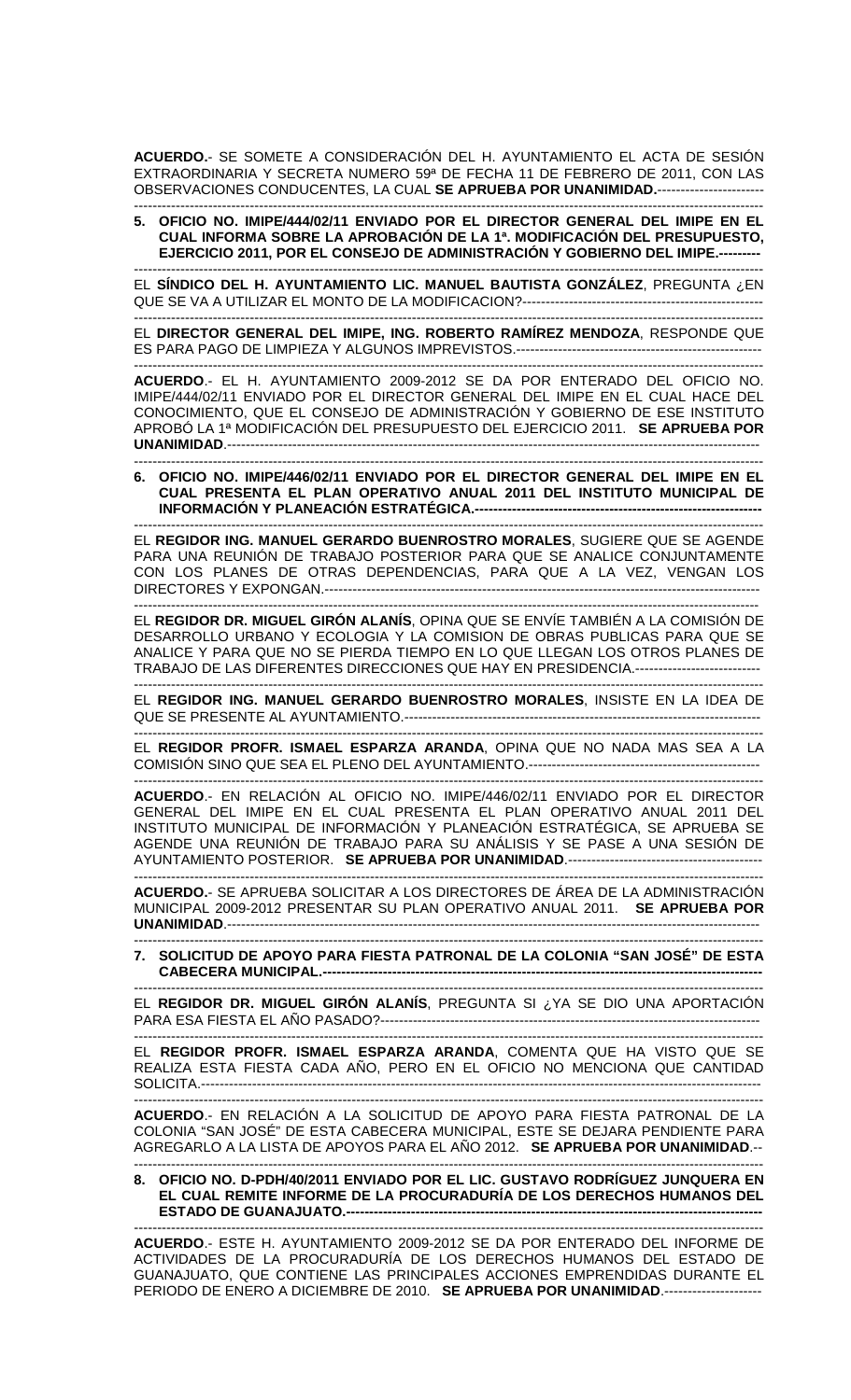**ACUERDO.**- SE SOMETE A CONSIDERACIÓN DEL H. AYUNTAMIENTO EL ACTA DE SESIÓN EXTRAORDINARIA Y SECRETA NUMERO 59ª DE FECHA 11 DE FEBRERO DE 2011, CON LAS OBSERVACIONES CONDUCENTES, LA CUAL **SE APRUEBA POR UNANIMIDAD.**-----------------------

---------------------------------------------------------------------------------------------------------------------------------------- **5. OFICIO NO. IMIPE/444/02/11 ENVIADO POR EL DIRECTOR GENERAL DEL IMIPE EN EL CUAL INFORMA SOBRE LA APROBACIÓN DE LA 1ª. MODIFICACIÓN DEL PRESUPUESTO, EJERCICIO 2011, POR EL CONSEJO DE ADMINISTRACIÓN Y GOBIERNO DEL IMIPE.---------** 

---------------------------------------------------------------------------------------------------------------------------------------- EL **SÍNDICO DEL H. AYUNTAMIENTO LIC. MANUEL BAUTISTA GONZÁLEZ**, PREGUNTA ¿EN QUE SE VA A UTILIZAR EL MONTO DE LA MODIFICACION?----------------------------------------------------

---------------------------------------------------------------------------------------------------------------------------------------- EL **DIRECTOR GENERAL DEL IMIPE, ING. ROBERTO RAMÍREZ MENDOZA**, RESPONDE QUE ES PARA PAGO DE LIMPIEZA Y ALGUNOS IMPREVISTOS.-----------------------------------------------------

---------------------------------------------------------------------------------------------------------------------------------------- **ACUERDO**.- EL H. AYUNTAMIENTO 2009-2012 SE DA POR ENTERADO DEL OFICIO NO. IMIPE/444/02/11 ENVIADO POR EL DIRECTOR GENERAL DEL IMIPE EN EL CUAL HACE DEL CONOCIMIENTO, QUE EL CONSEJO DE ADMINISTRACIÓN Y GOBIERNO DE ESE INSTITUTO APROBÓ LA 1ª MODIFICACIÓN DEL PRESUPUESTO DEL EJERCICIO 2011. **SE APRUEBA POR UNANIMIDAD**.-------------------------------------------------------------------------------------------------------------------

---------------------------------------------------------------------------------------------------------------------------------------- **6. OFICIO NO. IMIPE/446/02/11 ENVIADO POR EL DIRECTOR GENERAL DEL IMIPE EN EL CUAL PRESENTA EL PLAN OPERATIVO ANUAL 2011 DEL INSTITUTO MUNICIPAL DE INFORMACIÓN Y PLANEACIÓN ESTRATÉGICA.--------------------------------------------------------------** 

---------------------------------------------------------------------------------------------------------------------------------------- EL **REGIDOR ING. MANUEL GERARDO BUENROSTRO MORALES**, SUGIERE QUE SE AGENDE PARA UNA REUNIÓN DE TRABAJO POSTERIOR PARA QUE SE ANALICE CONJUNTAMENTE CON LOS PLANES DE OTRAS DEPENDENCIAS, PARA QUE A LA VEZ, VENGAN LOS DIRECTORES Y EXPONGAN.---------------------------------------------------------------------------------------------- ---------------------------------------------------------------------------------------------------------------------------------------

EL **REGIDOR DR. MIGUEL GIRÓN ALANÍS**, OPINA QUE SE ENVÍE TAMBIÉN A LA COMISIÓN DE DESARROLLO URBANO Y ECOLOGIA Y LA COMISION DE OBRAS PUBLICAS PARA QUE SE ANALICE Y PARA QUE NO SE PIERDA TIEMPO EN LO QUE LLEGAN LOS OTROS PLANES DE TRABAJO DE LAS DIFERENTES DIRECCIONES QUE HAY EN PRESIDENCIA.---------------------------

---------------------------------------------------------------------------------------------------------------------------------------- EL **REGIDOR ING. MANUEL GERARDO BUENROSTRO MORALES**, INSISTE EN LA IDEA DE QUE SE PRESENTE AL AYUNTAMIENTO.-----------------------------------------------------------------------------

---------------------------------------------------------------------------------------------------------------------------------------- EL **REGIDOR PROFR. ISMAEL ESPARZA ARANDA**, OPINA QUE NO NADA MAS SEA A LA COMISIÓN SINO QUE SEA EL PLENO DEL AYUNTAMIENTO.--------------------------------------------------

---------------------------------------------------------------------------------------------------------------------------------------- **ACUERDO**.- EN RELACIÓN AL OFICIO NO. IMIPE/446/02/11 ENVIADO POR EL DIRECTOR GENERAL DEL IMIPE EN EL CUAL PRESENTA EL PLAN OPERATIVO ANUAL 2011 DEL INSTITUTO MUNICIPAL DE INFORMACIÓN Y PLANEACIÓN ESTRATÉGICA, SE APRUEBA SE AGENDE UNA REUNIÓN DE TRABAJO PARA SU ANÁLISIS Y SE PASE A UNA SESIÓN DE AYUNTAMIENTO POSTERIOR. **SE APRUEBA POR UNANIMIDAD**.------------------------------------------

---------------------------------------------------------------------------------------------------------------------------------------- **ACUERDO.**- SE APRUEBA SOLICITAR A LOS DIRECTORES DE ÁREA DE LA ADMINISTRACIÓN MUNICIPAL 2009-2012 PRESENTAR SU PLAN OPERATIVO ANUAL 2011. **SE APRUEBA POR UNANIMIDAD**.-------------------------------------------------------------------------------------------------------------------

---------------------------------------------------------------------------------------------------------------------------------------- **7. SOLICITUD DE APOYO PARA FIESTA PATRONAL DE LA COLONIA "SAN JOSÉ" DE ESTA CABECERA MUNICIPAL.-----------------------------------------------------------------------------------------------** 

---------------------------------------------------------------------------------------------------------------------------------------- EL **REGIDOR DR. MIGUEL GIRÓN ALANÍS**, PREGUNTA SI ¿YA SE DIO UNA APORTACIÓN PARA ESA FIESTA EL AÑO PASADO?----------------------------------------------------------------------------------

---------------------------------------------------------------------------------------------------------------------------------------- EL **REGIDOR PROFR. ISMAEL ESPARZA ARANDA**, COMENTA QUE HA VISTO QUE SE REALIZA ESTA FIESTA CADA AÑO, PERO EN EL OFICIO NO MENCIONA QUE CANTIDAD SOLICITA.-------------------------------------------------------------------------------------------------------------------------

----------------------------------------------------------------------------------------------------------------------------------------

**ACUERDO**.- EN RELACIÓN A LA SOLICITUD DE APOYO PARA FIESTA PATRONAL DE LA COLONIA "SAN JOSÉ" DE ESTA CABECERA MUNICIPAL, ESTE SE DEJARA PENDIENTE PARA AGREGARLO A LA LISTA DE APOYOS PARA EL AÑO 2012. **SE APRUEBA POR UNANIMIDAD**.-- ----------------------------------------------------------------------------------------------------------------------------------------

**8. OFICIO NO. D-PDH/40/2011 ENVIADO POR EL LIC. GUSTAVO RODRÍGUEZ JUNQUERA EN EL CUAL REMITE INFORME DE LA PROCURADURÍA DE LOS DERECHOS HUMANOS DEL ESTADO DE GUANAJUATO.------------------------------------------------------------------------------------------** 

---------------------------------------------------------------------------------------------------------------------------------------- **ACUERDO**.- ESTE H. AYUNTAMIENTO 2009-2012 SE DA POR ENTERADO DEL INFORME DE ACTIVIDADES DE LA PROCURADURÍA DE LOS DERECHOS HUMANOS DEL ESTADO DE GUANAJUATO, QUE CONTIENE LAS PRINCIPALES ACCIONES EMPRENDIDAS DURANTE EL PERIODO DE ENERO A DICIEMBRE DE 2010. **SE APRUEBA POR UNANIMIDAD**.---------------------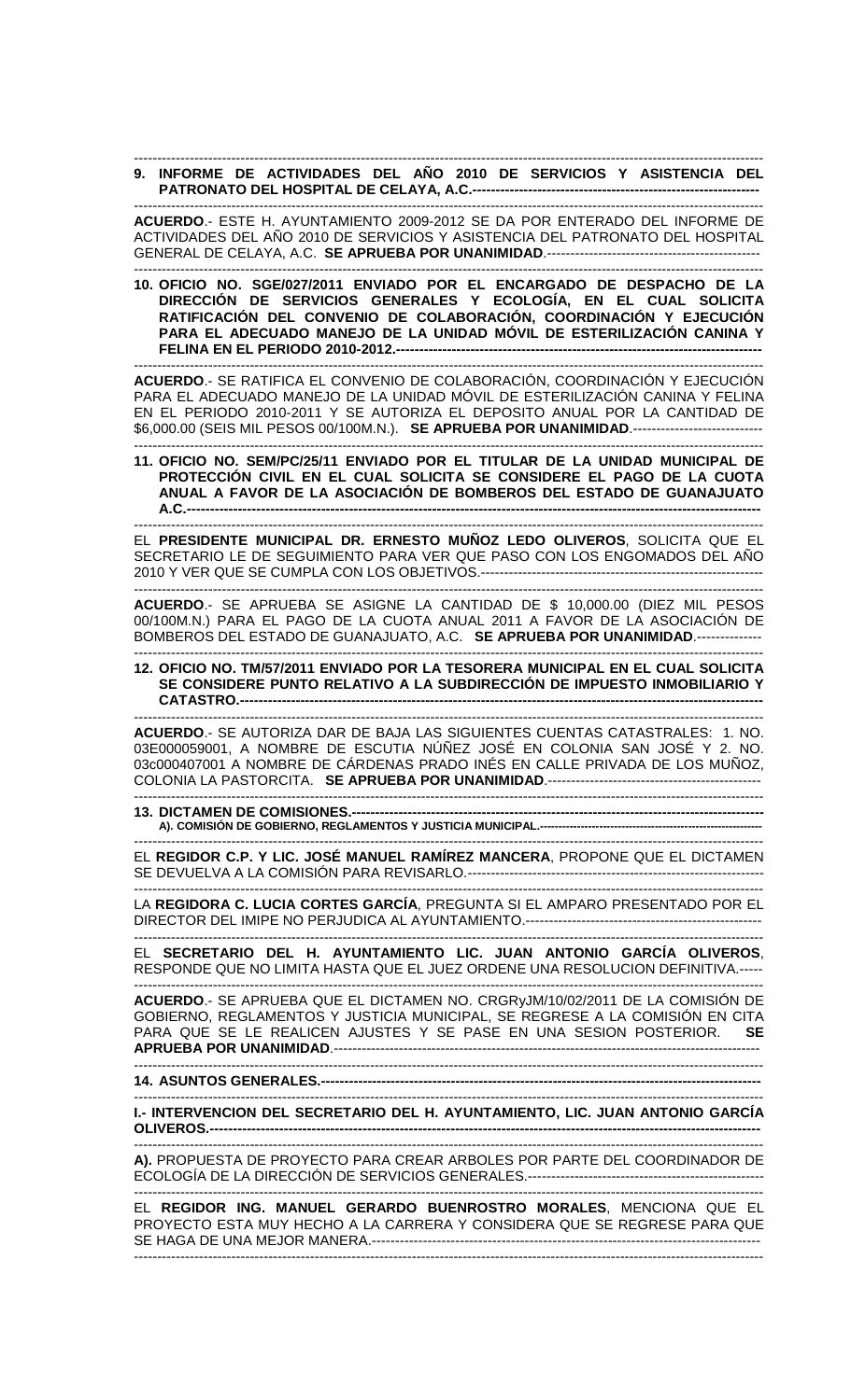## ---------------------------------------------------------------------------------------------------------------------------------------- **9. INFORME DE ACTIVIDADES DEL AÑO 2010 DE SERVICIOS Y ASISTENCIA DEL PATRONATO DEL HOSPITAL DE CELAYA, A.C.--------------------------------------------------------------**

---------------------------------------------------------------------------------------------------------------------------------------- **ACUERDO**.- ESTE H. AYUNTAMIENTO 2009-2012 SE DA POR ENTERADO DEL INFORME DE ACTIVIDADES DEL AÑO 2010 DE SERVICIOS Y ASISTENCIA DEL PATRONATO DEL HOSPITAL GENERAL DE CELAYA, A.C. **SE APRUEBA POR UNANIMIDAD**.----------------------------------------------

---------------------------------------------------------------------------------------------------------------------------------------- **10. OFICIO NO. SGE/027/2011 ENVIADO POR EL ENCARGADO DE DESPACHO DE LA DIRECCIÓN DE SERVICIOS GENERALES Y ECOLOGÍA, EN EL CUAL SOLICITA RATIFICACIÓN DEL CONVENIO DE COLABORACIÓN, COORDINACIÓN Y EJECUCIÓN PARA EL ADECUADO MANEJO DE LA UNIDAD MÓVIL DE ESTERILIZACIÓN CANINA Y FELINA EN EL PERIODO 2010-2012.----**

---------------------------------------------------------------------------------------------------------------------------------------- **ACUERDO**.- SE RATIFICA EL CONVENIO DE COLABORACIÓN, COORDINACIÓN Y EJECUCIÓN PARA EL ADECUADO MANEJO DE LA UNIDAD MÓVIL DE ESTERILIZACIÓN CANINA Y FELINA EN EL PERIODO 2010-2011 Y SE AUTORIZA EL DEPOSITO ANUAL POR LA CANTIDAD DE \$6,000.00 (SEIS MIL PESOS 00/100M.N.). **SE APRUEBA POR UNANIMIDAD**.---------------------------- ----------------------------------------------------------------------------------------------------------------------------------------

**11. OFICIO NO. SEM/PC/25/11 ENVIADO POR EL TITULAR DE LA UNIDAD MUNICIPAL DE PROTECCIÓN CIVIL EN EL CUAL SOLICITA SE CONSIDERE EL PAGO DE LA CUOTA ANUAL A FAVOR DE LA ASOCIACIÓN DE BOMBEROS DEL ESTADO DE GUANAJUATO A.C.----------------------------------------------------------------------------------------------------------------------------** 

EL **PRESIDENTE MUNICIPAL DR. ERNESTO MUÑOZ LEDO OLIVEROS**, SOLICITA QUE EL SECRETARIO LE DE SEGUIMIENTO PARA VER QUE PASO CON LOS ENGOMADOS DEL AÑO 2010 Y VER QUE SE CUMPLA CON LOS OBJETIVOS.-------------------------------------------------------------

----------------------------------------------------------------------------------------------------------------------------------------

---------------------------------------------------------------------------------------------------------------------------------------- **ACUERDO**.- SE APRUEBA SE ASIGNE LA CANTIDAD DE \$ 10,000.00 (DIEZ MIL PESOS 00/100M.N.) PARA EL PAGO DE LA CUOTA ANUAL 2011 A FAVOR DE LA ASOCIACIÓN DE BOMBEROS DEL ESTADO DE GUANAJUATO, A.C. **SE APRUEBA POR UNANIMIDAD**.--------------

---------------------------------------------------------------------------------------------------------------------------------------- **12. OFICIO NO. TM/57/2011 ENVIADO POR LA TESORERA MUNICIPAL EN EL CUAL SOLICITA SE CONSIDERE PUNTO RELATIVO A LA SUBDIRECCIÓN DE IMPUESTO INMOBILIARIO Y CATASTRO.-----------------------------------------------------------------------------------------------------------------** 

----------------------------------------------------------------------------------------------------------------------------------------

**ACUERDO**.- SE AUTORIZA DAR DE BAJA LAS SIGUIENTES CUENTAS CATASTRALES: 1. NO. 03E000059001, A NOMBRE DE ESCUTIA NÚÑEZ JOSÉ EN COLONIA SAN JOSÉ Y 2. NO. 03c000407001 A NOMBRE DE CÁRDENAS PRADO INÉS EN CALLE PRIVADA DE LOS MUÑOZ, COLONIA LA PASTORCITA. **SE APRUEBA POR UNANIMIDAD**.---------------------------------------------- ----------------------------------------------------------------------------------------------------------------------------------------

**13. DICTAMEN DE COMISIONES.----------------------------------------------------------------------------------------- A). COMISIÓN DE GOBIERNO, REGLAMENTOS Y JUSTICIA MUNICIPAL.------------------------------------------------------------** 

---------------------------------------------------------------------------------------------------------------------------------------- EL **REGIDOR C.P. Y LIC. JOSÉ MANUEL RAMÍREZ MANCERA**, PROPONE QUE EL DICTAMEN SE DEVUELVA A LA COMISIÓN PARA REVISARLO.----------------------------------------------------------------

---------------------------------------------------------------------------------------------------------------------------------------- LA **REGIDORA C. LUCIA CORTES GARCÍA**, PREGUNTA SI EL AMPARO PRESENTADO POR EL DIRECTOR DEL IMIPE NO PERJUDICA AL AYUNTAMIENTO.---------------------------------------------------

---------------------------------------------------------------------------------------------------------------------------------------- EL **SECRETARIO DEL H. AYUNTAMIENTO LIC. JUAN ANTONIO GARCÍA OLIVEROS**, RESPONDE QUE NO LIMITA HASTA QUE EL JUEZ ORDENE UNA RESOLUCION DEFINITIVA.-----

---------------------------------------------------------------------------------------------------------------------------------------- **ACUERDO**.- SE APRUEBA QUE EL DICTAMEN NO. CRGRyJM/10/02/2011 DE LA COMISIÓN DE GOBIERNO, REGLAMENTOS Y JUSTICIA MUNICIPAL, SE REGRESE A LA COMISIÓN EN CITA PARA QUE SE LE REALICEN AJUSTES Y SE PASE EN UNA SESION POSTERIOR. **SE APRUEBA POR UNANIMIDAD**.--------------------------------------------------------------------------------------------

---------------------------------------------------------------------------------------------------------------------------------------- **14. ASUNTOS GENERALES.-----------------------------------------------------------------------------------------------** 

---------------------------------------------------------------------------------------------------------------------------------------- **I.- INTERVENCION DEL SECRETARIO DEL H. AYUNTAMIENTO, LIC. JUAN ANTONIO GARCÍA OLIVEROS.---**

---------------------------------------------------------------------------------------------------------------------------------------- **A).** PROPUESTA DE PROYECTO PARA CREAR ARBOLES POR PARTE DEL COORDINADOR DE ECOLOGÍA DE LA DIRECCIÓN DE SERVICIOS GENERALES.---------------------------------------------------

---------------------------------------------------------------------------------------------------------------------------------------- EL **REGIDOR ING. MANUEL GERARDO BUENROSTRO MORALES**, MENCIONA QUE EL PROYECTO ESTA MUY HECHO A LA CARRERA Y CONSIDERA QUE SE REGRESE PARA QUE SE HAGA DE UNA MEJOR MANERA.------------------------------------------------------------------------------------ ----------------------------------------------------------------------------------------------------------------------------------------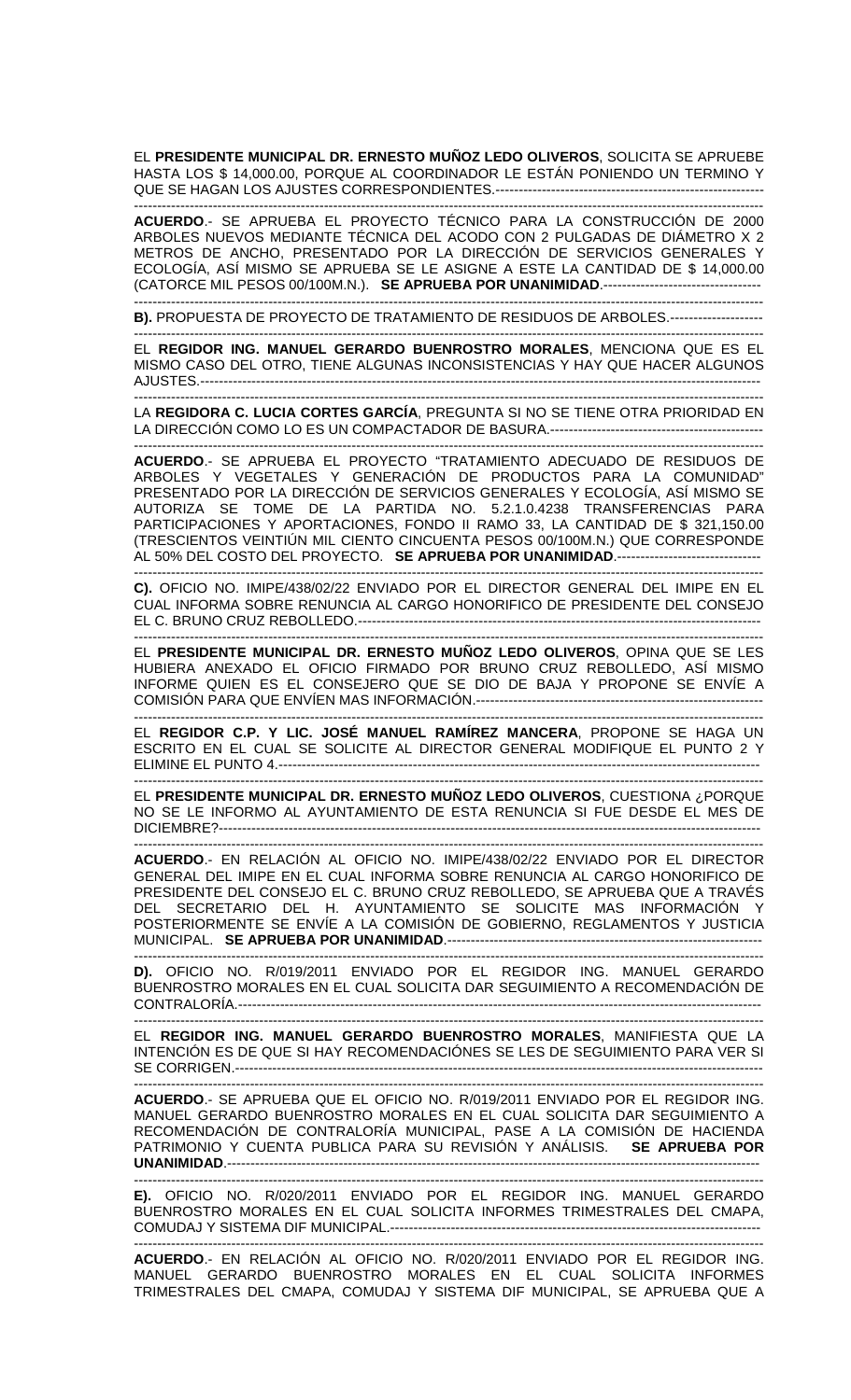EL **PRESIDENTE MUNICIPAL DR. ERNESTO MUÑOZ LEDO OLIVEROS**, SOLICITA SE APRUEBE HASTA LOS \$ 14,000.00, PORQUE AL COORDINADOR LE ESTÁN PONIENDO UN TERMINO Y QUE SE HAGAN LOS AJUSTES CORRESPONDIENTES.----------------------------------------------------------

---------------------------------------------------------------------------------------------------------------------------------------- **ACUERDO**.- SE APRUEBA EL PROYECTO TÉCNICO PARA LA CONSTRUCCIÓN DE 2000 ARBOLES NUEVOS MEDIANTE TÉCNICA DEL ACODO CON 2 PULGADAS DE DIÁMETRO X 2 METROS DE ANCHO, PRESENTADO POR LA DIRECCIÓN DE SERVICIOS GENERALES Y ECOLOGÍA, ASÍ MISMO SE APRUEBA SE LE ASIGNE A ESTE LA CANTIDAD DE \$ 14,000.00 (CATORCE MIL PESOS 00/100M.N.). **SE APRUEBA POR UNANIMIDAD**.---------------------------------- ----------------------------------------------------------------------------------------------------------------------------------------

**B).** PROPUESTA DE PROYECTO DE TRATAMIENTO DE RESIDUOS DE ARBOLES.-------------------- ----------------------------------------------------------------------------------------------------------------------------------------

EL **REGIDOR ING. MANUEL GERARDO BUENROSTRO MORALES**, MENCIONA QUE ES EL MISMO CASO DEL OTRO, TIENE ALGUNAS INCONSISTENCIAS Y HAY QUE HACER ALGUNOS AJUSTES.-------------------------------------------------------------------------------------------------------------------------

---------------------------------------------------------------------------------------------------------------------------------------- LA **REGIDORA C. LUCIA CORTES GARCÍA**, PREGUNTA SI NO SE TIENE OTRA PRIORIDAD EN LA DIRECCIÓN COMO LO ES UN COMPACTADOR DE BASURA.----------------------------------------------

---------------------------------------------------------------------------------------------------------------------------------------- **ACUERDO**.- SE APRUEBA EL PROYECTO "TRATAMIENTO ADECUADO DE RESIDUOS DE ARBOLES Y VEGETALES Y GENERACIÓN DE PRODUCTOS PARA LA COMUNIDAD" PRESENTADO POR LA DIRECCIÓN DE SERVICIOS GENERALES Y ECOLOGÍA, ASÍ MISMO SE AUTORIZA SE TOME DE LA PARTIDA NO. 5.2.1.0.4238 TRANSFERENCIAS PARA PARTICIPACIONES Y APORTACIONES, FONDO II RAMO 33, LA CANTIDAD DE \$ 321,150.00 (TRESCIENTOS VEINTIÚN MIL CIENTO CINCUENTA PESOS 00/100M.N.) QUE CORRESPONDE AL 50% DEL COSTO DEL PROYECTO. **SE APRUEBA POR UNANIMIDAD**.------------------------------- ----------------------------------------------------------------------------------------------------------------------------------------

**C).** OFICIO NO. IMIPE/438/02/22 ENVIADO POR EL DIRECTOR GENERAL DEL IMIPE EN EL CUAL INFORMA SOBRE RENUNCIA AL CARGO HONORIFICO DE PRESIDENTE DEL CONSEJO EL C. BRUNO CRUZ REBOLLEDO.--------------------------------------------------------------------------------------- ----------------------------------------------------------------------------------------------------------------------------------------

EL **PRESIDENTE MUNICIPAL DR. ERNESTO MUÑOZ LEDO OLIVEROS**, OPINA QUE SE LES HUBIERA ANEXADO EL OFICIO FIRMADO POR BRUNO CRUZ REBOLLEDO, ASÍ MISMO INFORME QUIEN ES EL CONSEJERO QUE SE DIO DE BAJA Y PROPONE SE ENVÍE A COMISIÓN PARA QUE ENVÍEN MAS INFORMACIÓN.--------------------------------------------------------------

---------------------------------------------------------------------------------------------------------------------------------------- EL **REGIDOR C.P. Y LIC. JOSÉ MANUEL RAMÍREZ MANCERA**, PROPONE SE HAGA UN ESCRITO EN EL CUAL SE SOLICITE AL DIRECTOR GENERAL MODIFIQUE EL PUNTO 2 Y ELIMINE EL PUNTO 4.--------------------------------------------------------------------------------------------------------

---------------------------------------------------------------------------------------------------------------------------------------- EL **PRESIDENTE MUNICIPAL DR. ERNESTO MUÑOZ LEDO OLIVEROS**, CUESTIONA ¿PORQUE NO SE LE INFORMO AL AYUNTAMIENTO DE ESTA RENUNCIA SI FUE DESDE EL MES DE DICIEMBRE?--------------------------------------------------------------------------------------------------------------------- ----------------------------------------------------------------------------------------------------------------------------------------

**ACUERDO**.- EN RELACIÓN AL OFICIO NO. IMIPE/438/02/22 ENVIADO POR EL DIRECTOR GENERAL DEL IMIPE EN EL CUAL INFORMA SOBRE RENUNCIA AL CARGO HONORIFICO DE PRESIDENTE DEL CONSEJO EL C. BRUNO CRUZ REBOLLEDO, SE APRUEBA QUE A TRAVÉS DEL SECRETARIO DEL H. AYUNTAMIENTO SE SOLICITE MAS INFORMACIÓN Y POSTERIORMENTE SE ENVÍE A LA COMISIÓN DE GOBIERNO, REGLAMENTOS Y JUSTICIA MUNICIPAL. **SE APRUEBA POR UNANIMIDAD**.-------------------------------------------------------------------- ----------------------------------------------------------------------------------------------------------------------------------------

**D).** OFICIO NO. R/019/2011 ENVIADO POR EL REGIDOR ING. MANUEL GERARDO BUENROSTRO MORALES EN EL CUAL SOLICITA DAR SEGUIMIENTO A RECOMENDACIÓN DE CONTRALORÍA.----------------------------------------------------------------------------------------------------------------- ----------------------------------------------------------------------------------------------------------------------------------------

EL **REGIDOR ING. MANUEL GERARDO BUENROSTRO MORALES**, MANIFIESTA QUE LA INTENCIÓN ES DE QUE SI HAY RECOMENDACIÓNES SE LES DE SEGUIMIENTO PARA VER SI SE CORRIGEN.------------------------------------------------------------------------------------------------------------------

---------------------------------------------------------------------------------------------------------------------------------------- **ACUERDO**.- SE APRUEBA QUE EL OFICIO NO. R/019/2011 ENVIADO POR EL REGIDOR ING. MANUEL GERARDO BUENROSTRO MORALES EN EL CUAL SOLICITA DAR SEGUIMIENTO A RECOMENDACIÓN DE CONTRALORÍA MUNICIPAL, PASE A LA COMISIÓN DE HACIENDA PATRIMONIO Y CUENTA PUBLICA PARA SU REVISIÓN Y ANÁLISIS. **SE APRUEBA POR UNANIMIDAD**.-------------------------------------------------------------------------------------------------------------------

**E).** OFICIO NO. R/020/2011 ENVIADO POR EL REGIDOR ING. MANUEL GERARDO BUENROSTRO MORALES EN EL CUAL SOLICITA INFORMES TRIMESTRALES DEL CMAPA, COMUDAJ Y SISTEMA DIF MUNICIPAL.--------------------------------------------------------------------------------

----------------------------------------------------------------------------------------------------------------------------------------

----------------------------------------------------------------------------------------------------------------------------------------

**ACUERDO**.- EN RELACIÓN AL OFICIO NO. R/020/2011 ENVIADO POR EL REGIDOR ING. MANUEL GERARDO BUENROSTRO MORALES EN EL CUAL SOLICITA INFORMES TRIMESTRALES DEL CMAPA, COMUDAJ Y SISTEMA DIF MUNICIPAL, SE APRUEBA QUE A